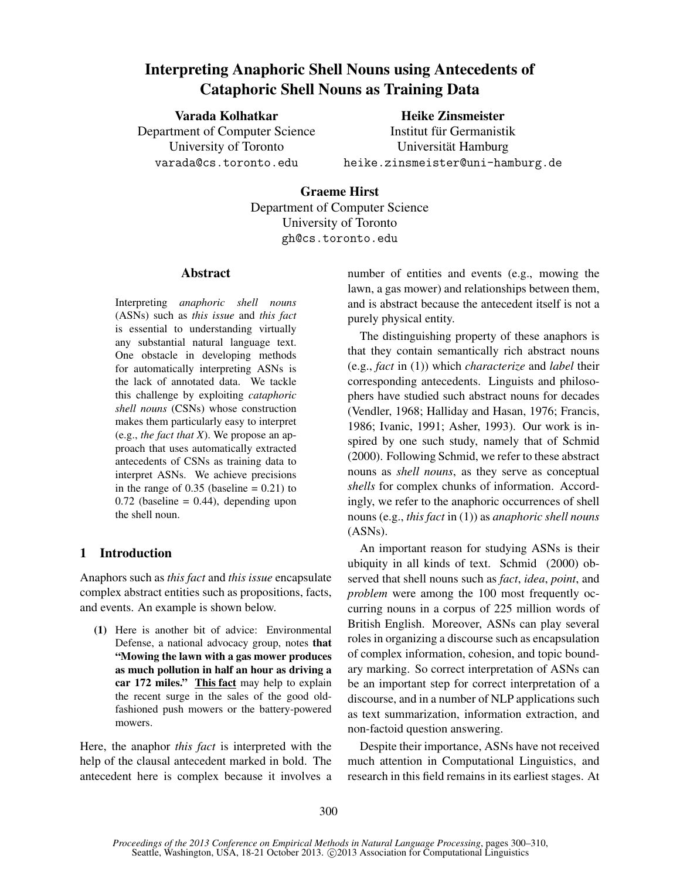# Interpreting Anaphoric Shell Nouns using Antecedents of Cataphoric Shell Nouns as Training Data

Varada Kolhatkar

Heike Zinsmeister

Department of Computer Science University of Toronto varada@cs.toronto.edu

Institut für Germanistik Universität Hamburg heike.zinsmeister@uni-hamburg.de

Graeme Hirst Department of Computer Science University of Toronto gh@cs.toronto.edu

# Abstract

Interpreting *anaphoric shell nouns* (ASNs) such as *this issue* and *this fact* is essential to understanding virtually any substantial natural language text. One obstacle in developing methods for automatically interpreting ASNs is the lack of annotated data. We tackle this challenge by exploiting *cataphoric shell nouns* (CSNs) whose construction makes them particularly easy to interpret (e.g., *the fact that X*). We propose an approach that uses automatically extracted antecedents of CSNs as training data to interpret ASNs. We achieve precisions in the range of  $0.35$  (baseline =  $0.21$ ) to  $0.72$  (baseline = 0.44), depending upon the shell noun.

# 1 Introduction

Anaphors such as *this fact* and *this issue* encapsulate complex abstract entities such as propositions, facts, and events. An example is shown below.

(1) Here is another bit of advice: Environmental Defense, a national advocacy group, notes that "Mowing the lawn with a gas mower produces as much pollution in half an hour as driving a car 172 miles." This fact may help to explain the recent surge in the sales of the good oldfashioned push mowers or the battery-powered mowers.

Here, the anaphor *this fact* is interpreted with the help of the clausal antecedent marked in bold. The antecedent here is complex because it involves a number of entities and events (e.g., mowing the lawn, a gas mower) and relationships between them, and is abstract because the antecedent itself is not a purely physical entity.

The distinguishing property of these anaphors is that they contain semantically rich abstract nouns (e.g., *fact* in (1)) which *characterize* and *label* their corresponding antecedents. Linguists and philosophers have studied such abstract nouns for decades (Vendler, 1968; Halliday and Hasan, 1976; Francis, 1986; Ivanic, 1991; Asher, 1993). Our work is inspired by one such study, namely that of Schmid (2000). Following Schmid, we refer to these abstract nouns as *shell nouns*, as they serve as conceptual *shells* for complex chunks of information. Accordingly, we refer to the anaphoric occurrences of shell nouns (e.g., *this fact* in (1)) as *anaphoric shell nouns* (ASNs).

An important reason for studying ASNs is their ubiquity in all kinds of text. Schmid (2000) observed that shell nouns such as *fact*, *idea*, *point*, and *problem* were among the 100 most frequently occurring nouns in a corpus of 225 million words of British English. Moreover, ASNs can play several roles in organizing a discourse such as encapsulation of complex information, cohesion, and topic boundary marking. So correct interpretation of ASNs can be an important step for correct interpretation of a discourse, and in a number of NLP applications such as text summarization, information extraction, and non-factoid question answering.

Despite their importance, ASNs have not received much attention in Computational Linguistics, and research in this field remains in its earliest stages. At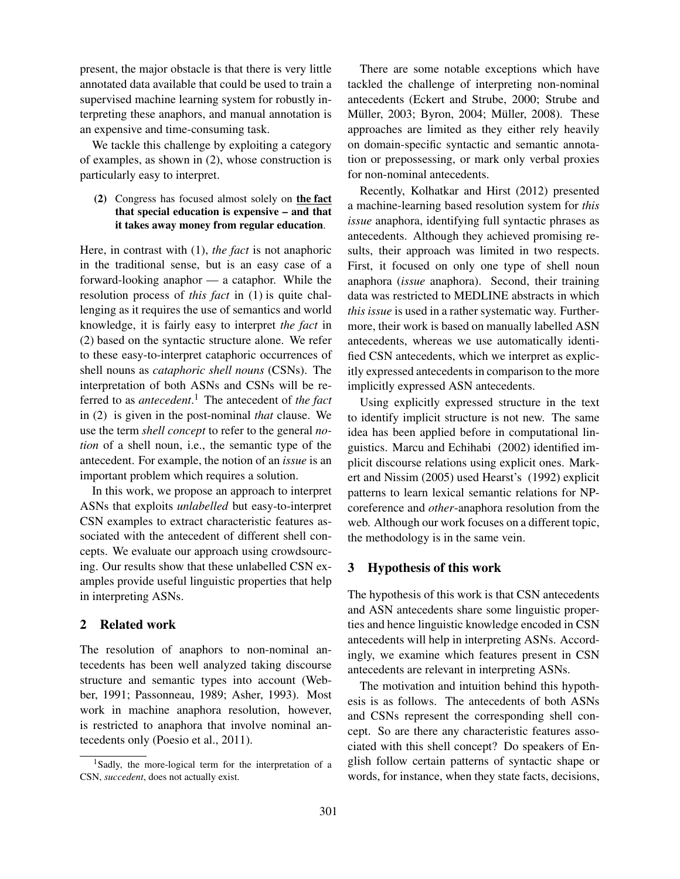present, the major obstacle is that there is very little annotated data available that could be used to train a supervised machine learning system for robustly interpreting these anaphors, and manual annotation is an expensive and time-consuming task.

We tackle this challenge by exploiting a category of examples, as shown in (2), whose construction is particularly easy to interpret.

#### (2) Congress has focused almost solely on the fact that special education is expensive – and that it takes away money from regular education.

Here, in contrast with (1), *the fact* is not anaphoric in the traditional sense, but is an easy case of a forward-looking anaphor — a cataphor. While the resolution process of *this fact* in (1) is quite challenging as it requires the use of semantics and world knowledge, it is fairly easy to interpret *the fact* in (2) based on the syntactic structure alone. We refer to these easy-to-interpret cataphoric occurrences of shell nouns as *cataphoric shell nouns* (CSNs). The interpretation of both ASNs and CSNs will be referred to as *antecedent*. <sup>1</sup> The antecedent of *the fact* in (2) is given in the post-nominal *that* clause. We use the term *shell concept* to refer to the general *notion* of a shell noun, i.e., the semantic type of the antecedent. For example, the notion of an *issue* is an important problem which requires a solution.

In this work, we propose an approach to interpret ASNs that exploits *unlabelled* but easy-to-interpret CSN examples to extract characteristic features associated with the antecedent of different shell concepts. We evaluate our approach using crowdsourcing. Our results show that these unlabelled CSN examples provide useful linguistic properties that help in interpreting ASNs.

# 2 Related work

The resolution of anaphors to non-nominal antecedents has been well analyzed taking discourse structure and semantic types into account (Webber, 1991; Passonneau, 1989; Asher, 1993). Most work in machine anaphora resolution, however, is restricted to anaphora that involve nominal antecedents only (Poesio et al., 2011).

There are some notable exceptions which have tackled the challenge of interpreting non-nominal antecedents (Eckert and Strube, 2000; Strube and Müller, 2003; Byron, 2004; Müller, 2008). These approaches are limited as they either rely heavily on domain-specific syntactic and semantic annotation or prepossessing, or mark only verbal proxies for non-nominal antecedents.

Recently, Kolhatkar and Hirst (2012) presented a machine-learning based resolution system for *this issue* anaphora, identifying full syntactic phrases as antecedents. Although they achieved promising results, their approach was limited in two respects. First, it focused on only one type of shell noun anaphora (*issue* anaphora). Second, their training data was restricted to MEDLINE abstracts in which *this issue* is used in a rather systematic way. Furthermore, their work is based on manually labelled ASN antecedents, whereas we use automatically identified CSN antecedents, which we interpret as explicitly expressed antecedents in comparison to the more implicitly expressed ASN antecedents.

Using explicitly expressed structure in the text to identify implicit structure is not new. The same idea has been applied before in computational linguistics. Marcu and Echihabi (2002) identified implicit discourse relations using explicit ones. Markert and Nissim (2005) used Hearst's (1992) explicit patterns to learn lexical semantic relations for NPcoreference and *other*-anaphora resolution from the web. Although our work focuses on a different topic, the methodology is in the same vein.

#### 3 Hypothesis of this work

The hypothesis of this work is that CSN antecedents and ASN antecedents share some linguistic properties and hence linguistic knowledge encoded in CSN antecedents will help in interpreting ASNs. Accordingly, we examine which features present in CSN antecedents are relevant in interpreting ASNs.

The motivation and intuition behind this hypothesis is as follows. The antecedents of both ASNs and CSNs represent the corresponding shell concept. So are there any characteristic features associated with this shell concept? Do speakers of English follow certain patterns of syntactic shape or words, for instance, when they state facts, decisions,

<sup>1</sup>Sadly, the more-logical term for the interpretation of a CSN, *succedent*, does not actually exist.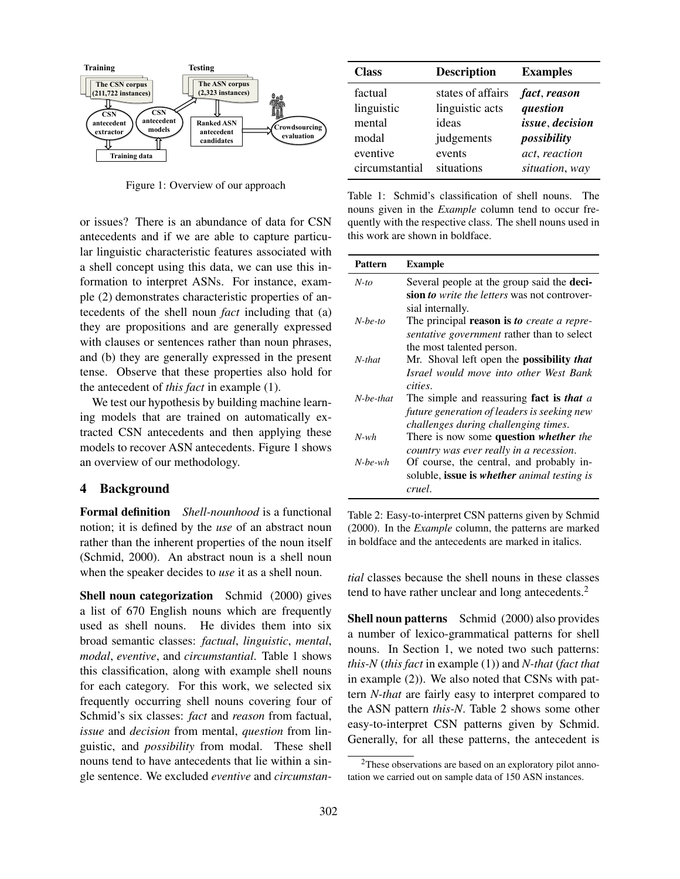

Figure 1: Overview of our approach

or issues? There is an abundance of data for CSN antecedents and if we are able to capture particular linguistic characteristic features associated with a shell concept using this data, we can use this information to interpret ASNs. For instance, example (2) demonstrates characteristic properties of antecedents of the shell noun *fact* including that (a) they are propositions and are generally expressed with clauses or sentences rather than noun phrases, and (b) they are generally expressed in the present tense. Observe that these properties also hold for the antecedent of *this fact* in example (1).

We test our hypothesis by building machine learning models that are trained on automatically extracted CSN antecedents and then applying these models to recover ASN antecedents. Figure 1 shows an overview of our methodology.

#### 4 Background

Formal definition *Shell-nounhood* is a functional notion; it is defined by the *use* of an abstract noun rather than the inherent properties of the noun itself (Schmid, 2000). An abstract noun is a shell noun when the speaker decides to *use* it as a shell noun.

Shell noun categorization Schmid (2000) gives a list of 670 English nouns which are frequently used as shell nouns. He divides them into six broad semantic classes: *factual*, *linguistic*, *mental*, *modal*, *eventive*, and *circumstantial*. Table 1 shows this classification, along with example shell nouns for each category. For this work, we selected six frequently occurring shell nouns covering four of Schmid's six classes: *fact* and *reason* from factual, *issue* and *decision* from mental, *question* from linguistic, and *possibility* from modal. These shell nouns tend to have antecedents that lie within a single sentence. We excluded *eventive* and *circumstan-*

| <b>Class</b>   | <b>Description</b> | <b>Examples</b> |  |  |  |
|----------------|--------------------|-----------------|--|--|--|
| factual        | states of affairs  | fact, reason    |  |  |  |
| linguistic     | linguistic acts    | question        |  |  |  |
| mental         | ideas              | issue, decision |  |  |  |
| modal          | judgements         | possibility     |  |  |  |
| eventive       | events             | act, reaction   |  |  |  |
| circumstantial | situations         | situation, way  |  |  |  |

Table 1: Schmid's classification of shell nouns. The nouns given in the *Example* column tend to occur frequently with the respective class. The shell nouns used in this work are shown in boldface.

| <b>Pattern</b> | Example                                             |
|----------------|-----------------------------------------------------|
| $N$ -to        | Several people at the group said the <b>deci-</b>   |
|                | sion <i>to write the letters</i> was not controver- |
|                | sial internally.                                    |
| $N$ -be-to     | The principal <b>reason is to</b> create a repre-   |
|                | <i>sentative government</i> rather than to select   |
|                | the most talented person.                           |
| N-that         | Mr. Shoval left open the <b>possibility</b> that    |
|                | Israel would move into other West Bank              |
|                | cities.                                             |
| N-be-that      | The simple and reassuring fact is that a            |
|                | future generation of leaders is seeking new         |
|                | challenges during challenging times.                |
| $N$ -wh        | There is now some question whether the              |
|                | country was ever really in a recession.             |
| $N$ -be-wh     | Of course, the central, and probably in-            |
|                | soluble, <b>issue is whether</b> animal testing is  |
|                | cruel.                                              |

Table 2: Easy-to-interpret CSN patterns given by Schmid (2000). In the *Example* column, the patterns are marked in boldface and the antecedents are marked in italics.

*tial* classes because the shell nouns in these classes tend to have rather unclear and long antecedents.<sup>2</sup>

Shell noun patterns Schmid (2000) also provides a number of lexico-grammatical patterns for shell nouns. In Section 1, we noted two such patterns: *this-N* (*this fact* in example (1)) and *N-that* (*fact that* in example (2)). We also noted that CSNs with pattern *N-that* are fairly easy to interpret compared to the ASN pattern *this-N*. Table 2 shows some other easy-to-interpret CSN patterns given by Schmid. Generally, for all these patterns, the antecedent is

<sup>2</sup>These observations are based on an exploratory pilot annotation we carried out on sample data of 150 ASN instances.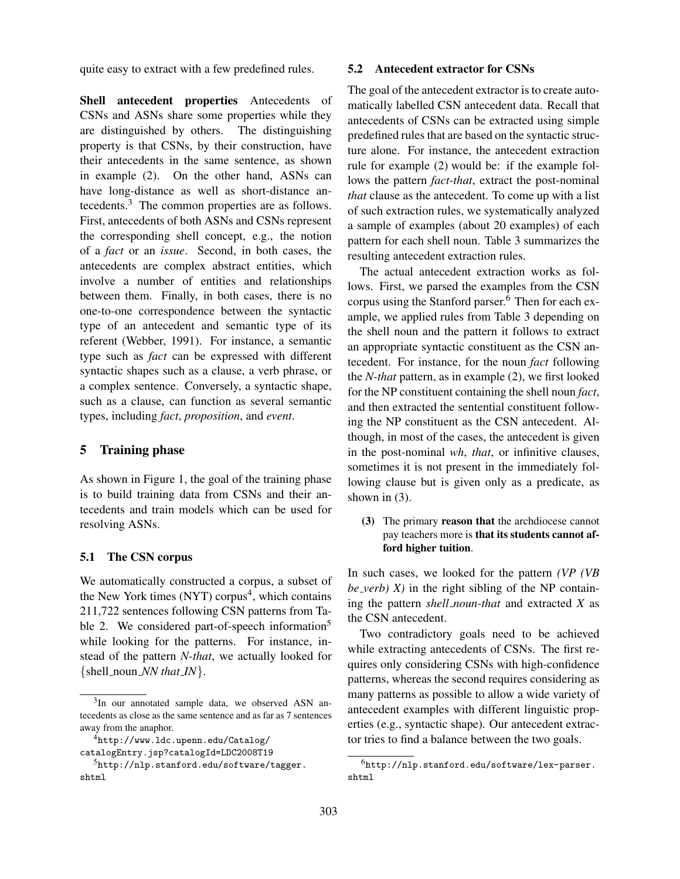quite easy to extract with a few predefined rules.

Shell antecedent properties Antecedents of CSNs and ASNs share some properties while they are distinguished by others. The distinguishing property is that CSNs, by their construction, have their antecedents in the same sentence, as shown in example (2). On the other hand, ASNs can have long-distance as well as short-distance antecedents.<sup>3</sup> The common properties are as follows. First, antecedents of both ASNs and CSNs represent the corresponding shell concept, e.g., the notion of a *fact* or an *issue*. Second, in both cases, the antecedents are complex abstract entities, which involve a number of entities and relationships between them. Finally, in both cases, there is no one-to-one correspondence between the syntactic type of an antecedent and semantic type of its referent (Webber, 1991). For instance, a semantic type such as *fact* can be expressed with different syntactic shapes such as a clause, a verb phrase, or a complex sentence. Conversely, a syntactic shape, such as a clause, can function as several semantic types, including *fact*, *proposition*, and *event*.

#### 5 Training phase

As shown in Figure 1, the goal of the training phase is to build training data from CSNs and their antecedents and train models which can be used for resolving ASNs.

# 5.1 The CSN corpus

We automatically constructed a corpus, a subset of the New York times (NYT) corpus<sup>4</sup>, which contains 211,722 sentences following CSN patterns from Table 2. We considered part-of-speech information<sup>5</sup> while looking for the patterns. For instance, instead of the pattern *N-that*, we actually looked for {shell noun *NN that IN*}.

#### 5.2 Antecedent extractor for CSNs

The goal of the antecedent extractor is to create automatically labelled CSN antecedent data. Recall that antecedents of CSNs can be extracted using simple predefined rules that are based on the syntactic structure alone. For instance, the antecedent extraction rule for example (2) would be: if the example follows the pattern *fact-that*, extract the post-nominal *that* clause as the antecedent. To come up with a list of such extraction rules, we systematically analyzed a sample of examples (about 20 examples) of each pattern for each shell noun. Table 3 summarizes the resulting antecedent extraction rules.

The actual antecedent extraction works as follows. First, we parsed the examples from the CSN corpus using the Stanford parser.<sup>6</sup> Then for each example, we applied rules from Table 3 depending on the shell noun and the pattern it follows to extract an appropriate syntactic constituent as the CSN antecedent. For instance, for the noun *fact* following the *N-that* pattern, as in example (2), we first looked for the NP constituent containing the shell noun *fact*, and then extracted the sentential constituent following the NP constituent as the CSN antecedent. Although, in most of the cases, the antecedent is given in the post-nominal *wh*, *that*, or infinitive clauses, sometimes it is not present in the immediately following clause but is given only as a predicate, as shown in (3).

(3) The primary reason that the archdiocese cannot pay teachers more is that its students cannot afford higher tuition.

In such cases, we looked for the pattern *(VP (VB*  $be\_verb$ )  $X$ ) in the right sibling of the NP containing the pattern *shell noun-that* and extracted *X* as the CSN antecedent.

Two contradictory goals need to be achieved while extracting antecedents of CSNs. The first requires only considering CSNs with high-confidence patterns, whereas the second requires considering as many patterns as possible to allow a wide variety of antecedent examples with different linguistic properties (e.g., syntactic shape). Our antecedent extractor tries to find a balance between the two goals.

<sup>&</sup>lt;sup>3</sup>In our annotated sample data, we observed ASN antecedents as close as the same sentence and as far as 7 sentences away from the anaphor.

<sup>4</sup>http://www.ldc.upenn.edu/Catalog/

catalogEntry.jsp?catalogId=LDC2008T19

<sup>5</sup>http://nlp.stanford.edu/software/tagger. shtml

<sup>6</sup>http://nlp.stanford.edu/software/lex-parser. shtml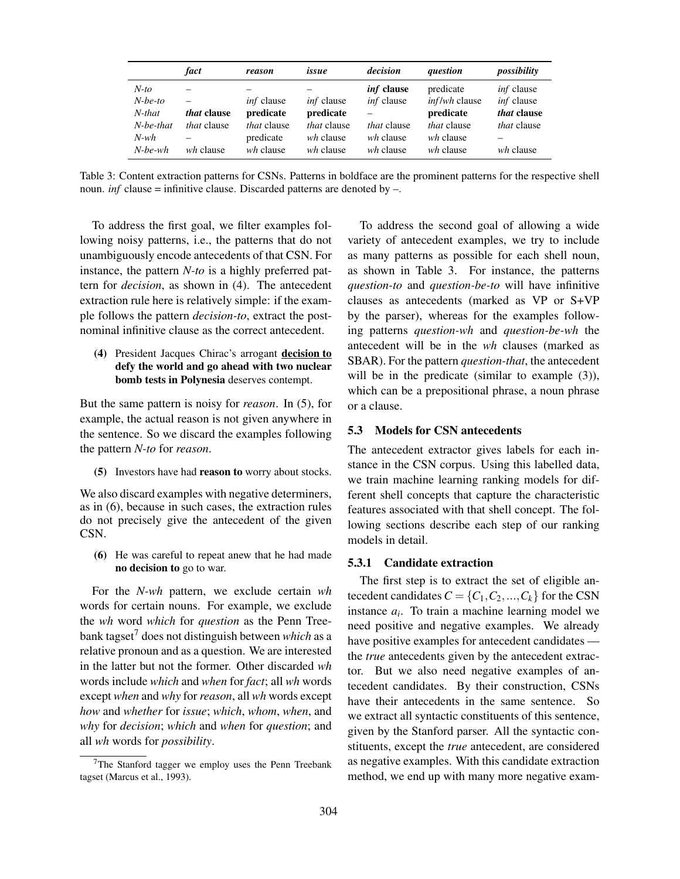|                                    | fact                            | reason                                       | issue                                        | decision                                     | question                                       | possibility                                                  |
|------------------------------------|---------------------------------|----------------------------------------------|----------------------------------------------|----------------------------------------------|------------------------------------------------|--------------------------------------------------------------|
| $N$ -to<br>$N$ -be-to<br>$N$ -that | <i>that</i> clause              | <i>inf</i> clause<br>predicate               | <i>inf</i> clause<br>predicate               | <i>inf</i> clause<br><i>inf</i> clause       | predicate<br><i>inf/wh</i> clause<br>predicate | <i>inf</i> clause<br><i>inf</i> clause<br><i>that</i> clause |
| $N$ -be-that<br>N-wh<br>$N$ -be-wh | <i>that</i> clause<br>wh clause | <i>that</i> clause<br>predicate<br>wh clause | <i>that</i> clause<br>wh clause<br>wh clause | <i>that</i> clause<br>wh clause<br>wh clause | <i>that</i> clause<br>wh clause<br>wh clause   | <i>that</i> clause<br>wh clause                              |

Table 3: Content extraction patterns for CSNs. Patterns in boldface are the prominent patterns for the respective shell noun. *inf* clause = infinitive clause. Discarded patterns are denoted by  $-$ .

To address the first goal, we filter examples following noisy patterns, i.e., the patterns that do not unambiguously encode antecedents of that CSN. For instance, the pattern *N-to* is a highly preferred pattern for *decision*, as shown in (4). The antecedent extraction rule here is relatively simple: if the example follows the pattern *decision-to*, extract the postnominal infinitive clause as the correct antecedent.

(4) President Jacques Chirac's arrogant decision to defy the world and go ahead with two nuclear bomb tests in Polynesia deserves contempt.

But the same pattern is noisy for *reason*. In (5), for example, the actual reason is not given anywhere in the sentence. So we discard the examples following the pattern *N-to* for *reason*.

(5) Investors have had reason to worry about stocks.

We also discard examples with negative determiners, as in (6), because in such cases, the extraction rules do not precisely give the antecedent of the given CSN.

(6) He was careful to repeat anew that he had made no decision to go to war.

For the *N-wh* pattern, we exclude certain *wh* words for certain nouns. For example, we exclude the *wh* word *which* for *question* as the Penn Treebank tagset<sup>7</sup> does not distinguish between *which* as a relative pronoun and as a question. We are interested in the latter but not the former. Other discarded *wh* words include *which* and *when* for *fact*; all *wh* words except *when* and *why* for*reason*, all *wh* words except *how* and *whether* for *issue*; *which*, *whom*, *when*, and *why* for *decision*; *which* and *when* for *question*; and all *wh* words for *possibility*.

To address the second goal of allowing a wide variety of antecedent examples, we try to include as many patterns as possible for each shell noun, as shown in Table 3. For instance, the patterns *question-to* and *question-be-to* will have infinitive clauses as antecedents (marked as VP or S+VP by the parser), whereas for the examples following patterns *question-wh* and *question-be-wh* the antecedent will be in the *wh* clauses (marked as SBAR). For the pattern *question-that*, the antecedent will be in the predicate (similar to example  $(3)$ ), which can be a prepositional phrase, a noun phrase or a clause.

#### 5.3 Models for CSN antecedents

The antecedent extractor gives labels for each instance in the CSN corpus. Using this labelled data, we train machine learning ranking models for different shell concepts that capture the characteristic features associated with that shell concept. The following sections describe each step of our ranking models in detail.

### 5.3.1 Candidate extraction

The first step is to extract the set of eligible antecedent candidates  $C = \{C_1, C_2, ..., C_k\}$  for the CSN instance  $a_i$ . To train a machine learning model we need positive and negative examples. We already have positive examples for antecedent candidates the *true* antecedents given by the antecedent extractor. But we also need negative examples of antecedent candidates. By their construction, CSNs have their antecedents in the same sentence. So we extract all syntactic constituents of this sentence, given by the Stanford parser. All the syntactic constituents, except the *true* antecedent, are considered as negative examples. With this candidate extraction method, we end up with many more negative exam-

<sup>7</sup>The Stanford tagger we employ uses the Penn Treebank tagset (Marcus et al., 1993).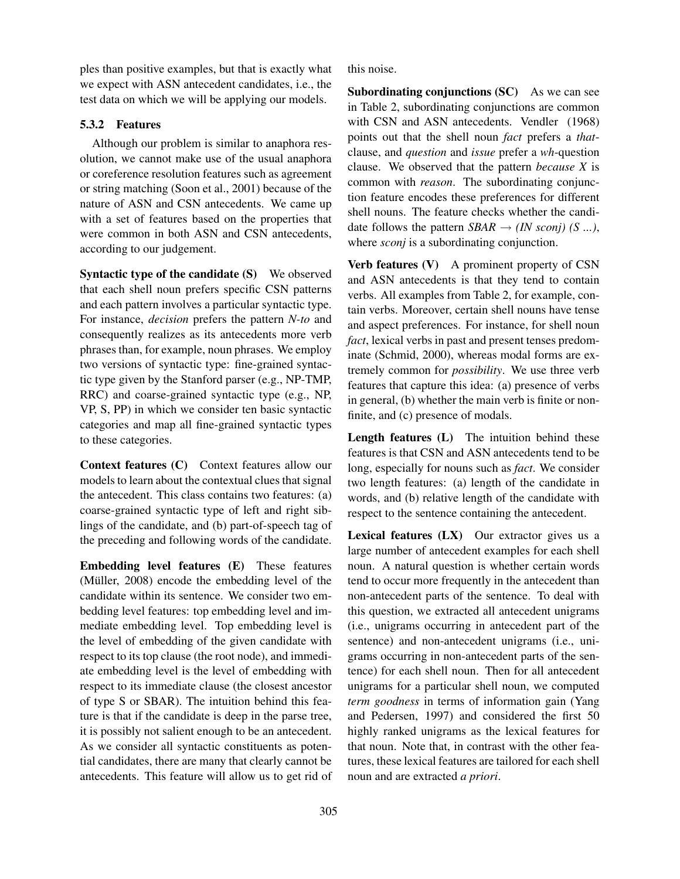ples than positive examples, but that is exactly what we expect with ASN antecedent candidates, i.e., the test data on which we will be applying our models.

# 5.3.2 Features

Although our problem is similar to anaphora resolution, we cannot make use of the usual anaphora or coreference resolution features such as agreement or string matching (Soon et al., 2001) because of the nature of ASN and CSN antecedents. We came up with a set of features based on the properties that were common in both ASN and CSN antecedents, according to our judgement.

Syntactic type of the candidate (S) We observed that each shell noun prefers specific CSN patterns and each pattern involves a particular syntactic type. For instance, *decision* prefers the pattern *N-to* and consequently realizes as its antecedents more verb phrases than, for example, noun phrases. We employ two versions of syntactic type: fine-grained syntactic type given by the Stanford parser (e.g., NP-TMP, RRC) and coarse-grained syntactic type (e.g., NP, VP, S, PP) in which we consider ten basic syntactic categories and map all fine-grained syntactic types to these categories.

Context features (C) Context features allow our models to learn about the contextual clues that signal the antecedent. This class contains two features: (a) coarse-grained syntactic type of left and right siblings of the candidate, and (b) part-of-speech tag of the preceding and following words of the candidate.

Embedding level features (E) These features (Müller,  $2008$ ) encode the embedding level of the candidate within its sentence. We consider two embedding level features: top embedding level and immediate embedding level. Top embedding level is the level of embedding of the given candidate with respect to its top clause (the root node), and immediate embedding level is the level of embedding with respect to its immediate clause (the closest ancestor of type S or SBAR). The intuition behind this feature is that if the candidate is deep in the parse tree, it is possibly not salient enough to be an antecedent. As we consider all syntactic constituents as potential candidates, there are many that clearly cannot be antecedents. This feature will allow us to get rid of this noise.

Subordinating conjunctions (SC) As we can see in Table 2, subordinating conjunctions are common with CSN and ASN antecedents. Vendler (1968) points out that the shell noun *fact* prefers a *that*clause, and *question* and *issue* prefer a *wh*-question clause. We observed that the pattern *because X* is common with *reason*. The subordinating conjunction feature encodes these preferences for different shell nouns. The feature checks whether the candidate follows the pattern  $SBAR \rightarrow (IN \; sconj) \; (S \; ...),$ where *sconj* is a subordinating conjunction.

Verb features (V) A prominent property of CSN and ASN antecedents is that they tend to contain verbs. All examples from Table 2, for example, contain verbs. Moreover, certain shell nouns have tense and aspect preferences. For instance, for shell noun *fact*, lexical verbs in past and present tenses predominate (Schmid, 2000), whereas modal forms are extremely common for *possibility*. We use three verb features that capture this idea: (a) presence of verbs in general, (b) whether the main verb is finite or nonfinite, and (c) presence of modals.

Length features (L) The intuition behind these features is that CSN and ASN antecedents tend to be long, especially for nouns such as *fact*. We consider two length features: (a) length of the candidate in words, and (b) relative length of the candidate with respect to the sentence containing the antecedent.

Lexical features (LX) Our extractor gives us a large number of antecedent examples for each shell noun. A natural question is whether certain words tend to occur more frequently in the antecedent than non-antecedent parts of the sentence. To deal with this question, we extracted all antecedent unigrams (i.e., unigrams occurring in antecedent part of the sentence) and non-antecedent unigrams (i.e., unigrams occurring in non-antecedent parts of the sentence) for each shell noun. Then for all antecedent unigrams for a particular shell noun, we computed *term goodness* in terms of information gain (Yang and Pedersen, 1997) and considered the first 50 highly ranked unigrams as the lexical features for that noun. Note that, in contrast with the other features, these lexical features are tailored for each shell noun and are extracted *a priori*.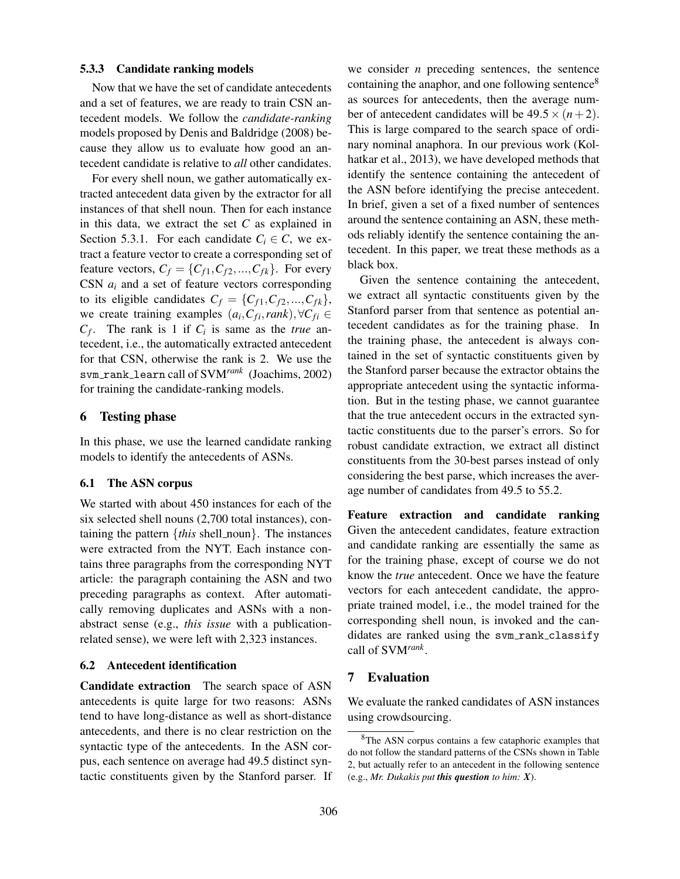#### 5.3.3 Candidate ranking models

Now that we have the set of candidate antecedents and a set of features, we are ready to train CSN antecedent models. We follow the *candidate-ranking* models proposed by Denis and Baldridge (2008) because they allow us to evaluate how good an antecedent candidate is relative to *all* other candidates.

For every shell noun, we gather automatically extracted antecedent data given by the extractor for all instances of that shell noun. Then for each instance in this data, we extract the set *C* as explained in Section 5.3.1. For each candidate  $C_i \in \mathcal{C}$ , we extract a feature vector to create a corresponding set of feature vectors,  $C_f = \{C_{f1}, C_{f2}, ..., C_{fk}\}$ . For every CSN *a<sup>i</sup>* and a set of feature vectors corresponding to its eligible candidates  $C_f = \{C_{f1}, C_{f2},..., C_{fk}\},\$ we create training examples  $(a_i, C_{fi}, rank), \forall C_{fi} \in$  $C_f$ . The rank is 1 if  $C_i$  is same as the *true* antecedent, i.e., the automatically extracted antecedent for that CSN, otherwise the rank is 2. We use the svm rank learn call of SVM*rank* (Joachims, 2002) for training the candidate-ranking models.

#### 6 Testing phase

In this phase, we use the learned candidate ranking models to identify the antecedents of ASNs.

## 6.1 The ASN corpus

We started with about 450 instances for each of the six selected shell nouns (2,700 total instances), containing the pattern  $\{this\ shell\_noun\}$ . The instances were extracted from the NYT. Each instance contains three paragraphs from the corresponding NYT article: the paragraph containing the ASN and two preceding paragraphs as context. After automatically removing duplicates and ASNs with a nonabstract sense (e.g., *this issue* with a publicationrelated sense), we were left with 2,323 instances.

#### 6.2 Antecedent identification

Candidate extraction The search space of ASN antecedents is quite large for two reasons: ASNs tend to have long-distance as well as short-distance antecedents, and there is no clear restriction on the syntactic type of the antecedents. In the ASN corpus, each sentence on average had 49.5 distinct syntactic constituents given by the Stanford parser. If we consider *n* preceding sentences, the sentence containing the anaphor, and one following sentence<sup>8</sup> as sources for antecedents, then the average number of antecedent candidates will be  $49.5 \times (n+2)$ . This is large compared to the search space of ordinary nominal anaphora. In our previous work (Kolhatkar et al., 2013), we have developed methods that identify the sentence containing the antecedent of the ASN before identifying the precise antecedent. In brief, given a set of a fixed number of sentences around the sentence containing an ASN, these methods reliably identify the sentence containing the antecedent. In this paper, we treat these methods as a black box.

Given the sentence containing the antecedent, we extract all syntactic constituents given by the Stanford parser from that sentence as potential antecedent candidates as for the training phase. In the training phase, the antecedent is always contained in the set of syntactic constituents given by the Stanford parser because the extractor obtains the appropriate antecedent using the syntactic information. But in the testing phase, we cannot guarantee that the true antecedent occurs in the extracted syntactic constituents due to the parser's errors. So for robust candidate extraction, we extract all distinct constituents from the 30-best parses instead of only considering the best parse, which increases the average number of candidates from 49.5 to 55.2.

Feature extraction and candidate ranking Given the antecedent candidates, feature extraction and candidate ranking are essentially the same as for the training phase, except of course we do not know the *true* antecedent. Once we have the feature vectors for each antecedent candidate, the appropriate trained model, i.e., the model trained for the corresponding shell noun, is invoked and the candidates are ranked using the svm\_rank\_classify call of SVM*rank* .

# 7 Evaluation

We evaluate the ranked candidates of ASN instances using crowdsourcing.

<sup>8</sup>The ASN corpus contains a few cataphoric examples that do not follow the standard patterns of the CSNs shown in Table 2, but actually refer to an antecedent in the following sentence (e.g., *Mr. Dukakis put this question to him: X*).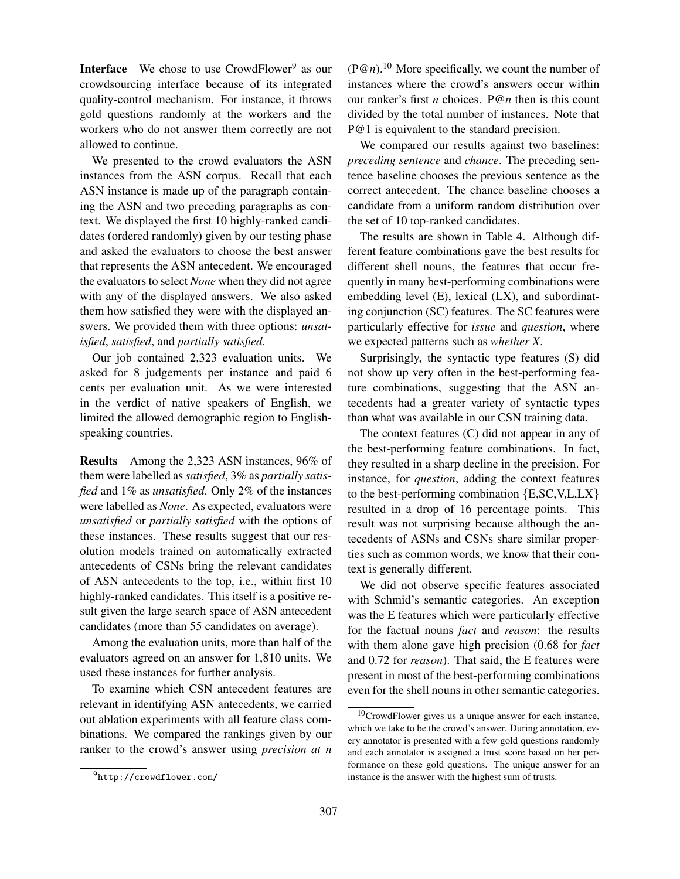**Interface** We chose to use CrowdFlower<sup>9</sup> as our crowdsourcing interface because of its integrated quality-control mechanism. For instance, it throws gold questions randomly at the workers and the workers who do not answer them correctly are not allowed to continue.

We presented to the crowd evaluators the ASN instances from the ASN corpus. Recall that each ASN instance is made up of the paragraph containing the ASN and two preceding paragraphs as context. We displayed the first 10 highly-ranked candidates (ordered randomly) given by our testing phase and asked the evaluators to choose the best answer that represents the ASN antecedent. We encouraged the evaluators to select *None* when they did not agree with any of the displayed answers. We also asked them how satisfied they were with the displayed answers. We provided them with three options: *unsatisfied*, *satisfied*, and *partially satisfied*.

Our job contained 2,323 evaluation units. We asked for 8 judgements per instance and paid 6 cents per evaluation unit. As we were interested in the verdict of native speakers of English, we limited the allowed demographic region to Englishspeaking countries.

Results Among the 2,323 ASN instances, 96% of them were labelled as*satisfied*, 3% as *partially satisfied* and 1% as *unsatisfied*. Only 2% of the instances were labelled as *None*. As expected, evaluators were *unsatisfied* or *partially satisfied* with the options of these instances. These results suggest that our resolution models trained on automatically extracted antecedents of CSNs bring the relevant candidates of ASN antecedents to the top, i.e., within first 10 highly-ranked candidates. This itself is a positive result given the large search space of ASN antecedent candidates (more than 55 candidates on average).

Among the evaluation units, more than half of the evaluators agreed on an answer for 1,810 units. We used these instances for further analysis.

To examine which CSN antecedent features are relevant in identifying ASN antecedents, we carried out ablation experiments with all feature class combinations. We compared the rankings given by our ranker to the crowd's answer using *precision at n*  $(P@n)^{10}$  More specifically, we count the number of instances where the crowd's answers occur within our ranker's first *n* choices. P@*n* then is this count divided by the total number of instances. Note that P@1 is equivalent to the standard precision.

We compared our results against two baselines: *preceding sentence* and *chance*. The preceding sentence baseline chooses the previous sentence as the correct antecedent. The chance baseline chooses a candidate from a uniform random distribution over the set of 10 top-ranked candidates.

The results are shown in Table 4. Although different feature combinations gave the best results for different shell nouns, the features that occur frequently in many best-performing combinations were embedding level (E), lexical (LX), and subordinating conjunction (SC) features. The SC features were particularly effective for *issue* and *question*, where we expected patterns such as *whether X*.

Surprisingly, the syntactic type features (S) did not show up very often in the best-performing feature combinations, suggesting that the ASN antecedents had a greater variety of syntactic types than what was available in our CSN training data.

The context features (C) did not appear in any of the best-performing feature combinations. In fact, they resulted in a sharp decline in the precision. For instance, for *question*, adding the context features to the best-performing combination {E,SC,V,L,LX} resulted in a drop of 16 percentage points. This result was not surprising because although the antecedents of ASNs and CSNs share similar properties such as common words, we know that their context is generally different.

We did not observe specific features associated with Schmid's semantic categories. An exception was the E features which were particularly effective for the factual nouns *fact* and *reason*: the results with them alone gave high precision (0.68 for *fact* and 0.72 for *reason*). That said, the E features were present in most of the best-performing combinations even for the shell nouns in other semantic categories.

<sup>9</sup>http://crowdflower.com/

<sup>10</sup>CrowdFlower gives us a unique answer for each instance, which we take to be the crowd's answer. During annotation, every annotator is presented with a few gold questions randomly and each annotator is assigned a trust score based on her performance on these gold questions. The unique answer for an instance is the answer with the highest sum of trusts.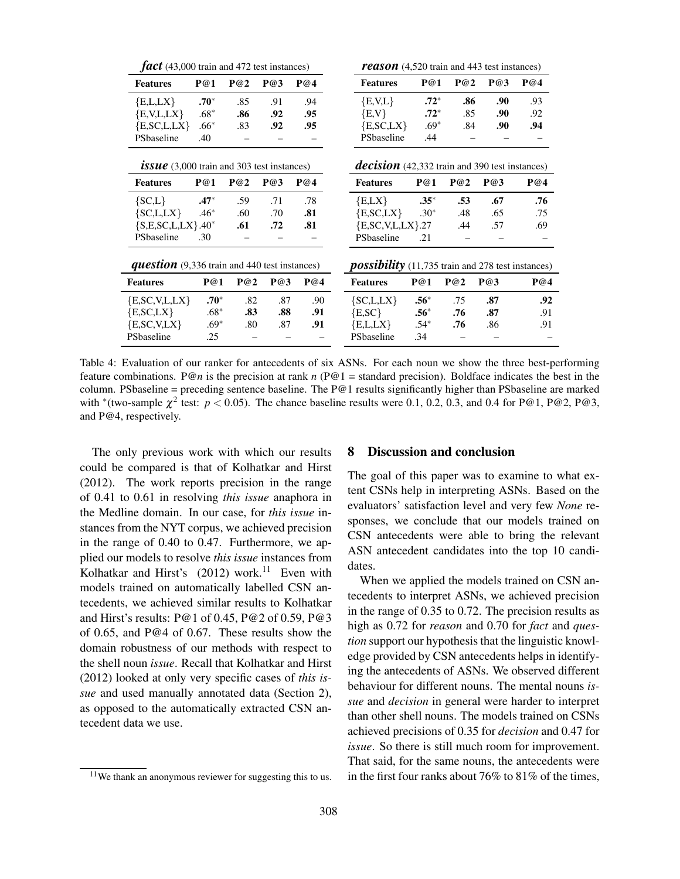| P@3<br>P@4<br>P@1<br>P@2<br>P@1<br>P@2<br>P@3<br>P@4<br><b>Features</b><br><b>Features</b><br>$.70*$<br>$.72*$<br>.94<br>E,V,L<br>.93<br>E,L,LX<br>.85<br>.91<br>.86<br>.90<br>$.68*$<br>$\{E,V\}$<br>$.72*$<br>E, V, L, LX<br>.92<br>.85<br>.90<br>.92<br>.86<br>.95<br>$.69*$<br>.94<br>E, SC, LX<br>E, SC, L, LX<br>$.66*$<br>.84<br>.90<br>.92<br>.95<br>.83<br>PSbaseline<br>PSbaseline<br>.44<br>.40<br><b>issue</b> $(3,000 \text{ train and } 303 \text{ test instances})$<br><b>decision</b> (42,332 train and 390 test instances)<br>P@1<br>P@2<br>P@3<br>P@4<br>P@1<br>P@2<br>P@3<br>P@4<br><b>Features</b><br><b>Features</b><br>$.47*$<br>.78<br>$.35*$<br>.67<br>.76<br>${SC, L}$<br>.59<br>.71<br>E, LX<br>.53<br>${SC, L, LX}$<br>$.46*$<br>$\{E, SC, LX\}$<br>$.30*$<br>.81<br>.75<br>.60<br>.70<br>.48<br>.65<br>${S, E, SC, L, LX}$ .40*<br>.81<br>$\{E, SC, V, L, LX\}.27$<br>.61<br>.72<br>.69<br>.44<br>.57<br>PSbaseline<br>.30<br>PSbaseline<br>.21<br><b>possibility</b> (11,735 train and 278 test instances)<br><b>question</b> (9,336 train and 440 test instances)<br>P@2<br>P@3<br>P@4<br>P@1<br>P@1<br>P@2<br>P@3<br>P@4<br><b>Features</b><br>$.56*$<br>$.70*$<br>${SC, L, LX}$<br>E, SC, V, L, LX<br>.90<br>.87<br>.92<br>.82<br>.87<br>.75<br>$.68*$<br>$\{E, SC\}$<br>$.56^*$<br>.83<br>.88<br>.91<br>.87<br>.76<br>.91<br>$.69*$<br>E,L,LX<br>$.54*$<br>.80<br>.87<br>.91<br>.86<br>.76<br>.91<br>.25<br>.34<br>PSbaseline | $\int$ <b><i>fact</i></b> (43,000 train and 472 test instances) |  |  |  |  | <b>reason</b> (4,520 train and 443 test instances) |  |  |  |  |
|----------------------------------------------------------------------------------------------------------------------------------------------------------------------------------------------------------------------------------------------------------------------------------------------------------------------------------------------------------------------------------------------------------------------------------------------------------------------------------------------------------------------------------------------------------------------------------------------------------------------------------------------------------------------------------------------------------------------------------------------------------------------------------------------------------------------------------------------------------------------------------------------------------------------------------------------------------------------------------------------------------------------------------------------------------------------------------------------------------------------------------------------------------------------------------------------------------------------------------------------------------------------------------------------------------------------------------------------------------------------------------------------------------------------------------------------------------------|-----------------------------------------------------------------|--|--|--|--|----------------------------------------------------|--|--|--|--|
|                                                                                                                                                                                                                                                                                                                                                                                                                                                                                                                                                                                                                                                                                                                                                                                                                                                                                                                                                                                                                                                                                                                                                                                                                                                                                                                                                                                                                                                                |                                                                 |  |  |  |  |                                                    |  |  |  |  |
|                                                                                                                                                                                                                                                                                                                                                                                                                                                                                                                                                                                                                                                                                                                                                                                                                                                                                                                                                                                                                                                                                                                                                                                                                                                                                                                                                                                                                                                                |                                                                 |  |  |  |  |                                                    |  |  |  |  |
|                                                                                                                                                                                                                                                                                                                                                                                                                                                                                                                                                                                                                                                                                                                                                                                                                                                                                                                                                                                                                                                                                                                                                                                                                                                                                                                                                                                                                                                                |                                                                 |  |  |  |  |                                                    |  |  |  |  |
|                                                                                                                                                                                                                                                                                                                                                                                                                                                                                                                                                                                                                                                                                                                                                                                                                                                                                                                                                                                                                                                                                                                                                                                                                                                                                                                                                                                                                                                                |                                                                 |  |  |  |  |                                                    |  |  |  |  |
|                                                                                                                                                                                                                                                                                                                                                                                                                                                                                                                                                                                                                                                                                                                                                                                                                                                                                                                                                                                                                                                                                                                                                                                                                                                                                                                                                                                                                                                                |                                                                 |  |  |  |  |                                                    |  |  |  |  |
|                                                                                                                                                                                                                                                                                                                                                                                                                                                                                                                                                                                                                                                                                                                                                                                                                                                                                                                                                                                                                                                                                                                                                                                                                                                                                                                                                                                                                                                                |                                                                 |  |  |  |  |                                                    |  |  |  |  |
|                                                                                                                                                                                                                                                                                                                                                                                                                                                                                                                                                                                                                                                                                                                                                                                                                                                                                                                                                                                                                                                                                                                                                                                                                                                                                                                                                                                                                                                                |                                                                 |  |  |  |  |                                                    |  |  |  |  |
|                                                                                                                                                                                                                                                                                                                                                                                                                                                                                                                                                                                                                                                                                                                                                                                                                                                                                                                                                                                                                                                                                                                                                                                                                                                                                                                                                                                                                                                                |                                                                 |  |  |  |  |                                                    |  |  |  |  |
|                                                                                                                                                                                                                                                                                                                                                                                                                                                                                                                                                                                                                                                                                                                                                                                                                                                                                                                                                                                                                                                                                                                                                                                                                                                                                                                                                                                                                                                                |                                                                 |  |  |  |  |                                                    |  |  |  |  |
|                                                                                                                                                                                                                                                                                                                                                                                                                                                                                                                                                                                                                                                                                                                                                                                                                                                                                                                                                                                                                                                                                                                                                                                                                                                                                                                                                                                                                                                                |                                                                 |  |  |  |  |                                                    |  |  |  |  |
|                                                                                                                                                                                                                                                                                                                                                                                                                                                                                                                                                                                                                                                                                                                                                                                                                                                                                                                                                                                                                                                                                                                                                                                                                                                                                                                                                                                                                                                                |                                                                 |  |  |  |  |                                                    |  |  |  |  |
|                                                                                                                                                                                                                                                                                                                                                                                                                                                                                                                                                                                                                                                                                                                                                                                                                                                                                                                                                                                                                                                                                                                                                                                                                                                                                                                                                                                                                                                                |                                                                 |  |  |  |  |                                                    |  |  |  |  |
|                                                                                                                                                                                                                                                                                                                                                                                                                                                                                                                                                                                                                                                                                                                                                                                                                                                                                                                                                                                                                                                                                                                                                                                                                                                                                                                                                                                                                                                                | <b>Features</b>                                                 |  |  |  |  |                                                    |  |  |  |  |
|                                                                                                                                                                                                                                                                                                                                                                                                                                                                                                                                                                                                                                                                                                                                                                                                                                                                                                                                                                                                                                                                                                                                                                                                                                                                                                                                                                                                                                                                |                                                                 |  |  |  |  |                                                    |  |  |  |  |
|                                                                                                                                                                                                                                                                                                                                                                                                                                                                                                                                                                                                                                                                                                                                                                                                                                                                                                                                                                                                                                                                                                                                                                                                                                                                                                                                                                                                                                                                | $\{E, SC, LX\}$                                                 |  |  |  |  |                                                    |  |  |  |  |
|                                                                                                                                                                                                                                                                                                                                                                                                                                                                                                                                                                                                                                                                                                                                                                                                                                                                                                                                                                                                                                                                                                                                                                                                                                                                                                                                                                                                                                                                | $\{E, SC, V, LX\}$                                              |  |  |  |  |                                                    |  |  |  |  |
|                                                                                                                                                                                                                                                                                                                                                                                                                                                                                                                                                                                                                                                                                                                                                                                                                                                                                                                                                                                                                                                                                                                                                                                                                                                                                                                                                                                                                                                                | PSbaseline                                                      |  |  |  |  |                                                    |  |  |  |  |

Table 4: Evaluation of our ranker for antecedents of six ASNs. For each noun we show the three best-performing feature combinations. P@n is the precision at rank  $n (P@1 =$  standard precision). Boldface indicates the best in the column. PSbaseline = preceding sentence baseline. The  $P@1$  results significantly higher than PSbaseline are marked with <sup>\*</sup>(two-sample  $\chi^2$  test:  $p < 0.05$ ). The chance baseline results were 0.1, 0.2, 0.3, and 0.4 for P@1, P@2, P@3, and P@4, respectively.

The only previous work with which our results could be compared is that of Kolhatkar and Hirst (2012). The work reports precision in the range of 0.41 to 0.61 in resolving *this issue* anaphora in the Medline domain. In our case, for *this issue* instances from the NYT corpus, we achieved precision in the range of 0.40 to 0.47. Furthermore, we applied our models to resolve *this issue* instances from Kolhatkar and Hirst's  $(2012)$  work.<sup>11</sup> Even with models trained on automatically labelled CSN antecedents, we achieved similar results to Kolhatkar and Hirst's results: P@1 of 0.45, P@2 of 0.59, P@3 of 0.65, and P@4 of 0.67. These results show the domain robustness of our methods with respect to the shell noun *issue*. Recall that Kolhatkar and Hirst (2012) looked at only very specific cases of *this issue* and used manually annotated data (Section 2), as opposed to the automatically extracted CSN antecedent data we use.

#### 8 Discussion and conclusion

The goal of this paper was to examine to what extent CSNs help in interpreting ASNs. Based on the evaluators' satisfaction level and very few *None* responses, we conclude that our models trained on CSN antecedents were able to bring the relevant ASN antecedent candidates into the top 10 candidates.

When we applied the models trained on CSN antecedents to interpret ASNs, we achieved precision in the range of 0.35 to 0.72. The precision results as high as 0.72 for *reason* and 0.70 for *fact* and *question* support our hypothesis that the linguistic knowledge provided by CSN antecedents helps in identifying the antecedents of ASNs. We observed different behaviour for different nouns. The mental nouns *issue* and *decision* in general were harder to interpret than other shell nouns. The models trained on CSNs achieved precisions of 0.35 for *decision* and 0.47 for *issue*. So there is still much room for improvement. That said, for the same nouns, the antecedents were in the first four ranks about 76% to 81% of the times,

 $11$ We thank an anonymous reviewer for suggesting this to us.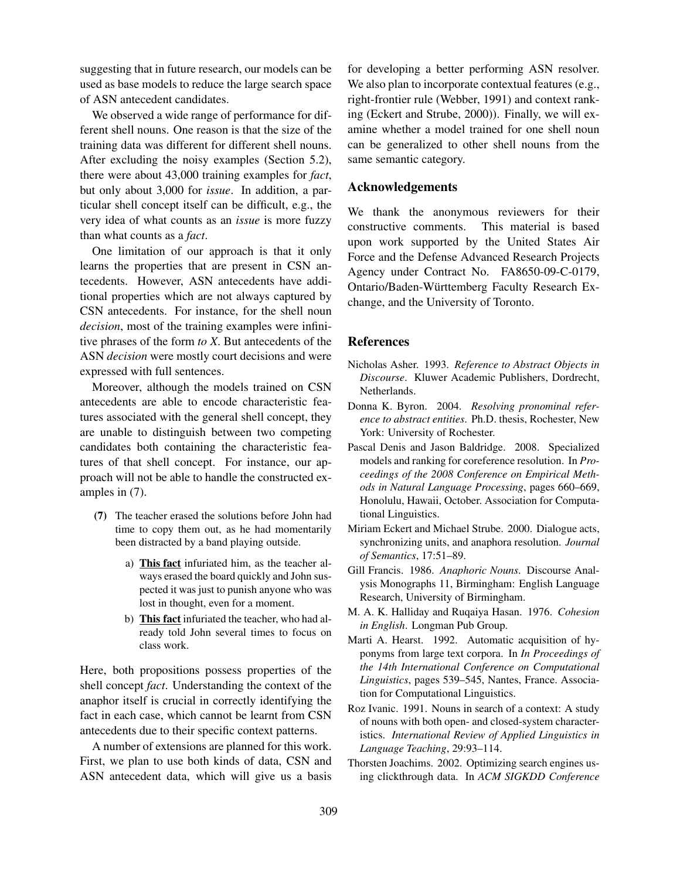suggesting that in future research, our models can be used as base models to reduce the large search space of ASN antecedent candidates.

We observed a wide range of performance for different shell nouns. One reason is that the size of the training data was different for different shell nouns. After excluding the noisy examples (Section 5.2), there were about 43,000 training examples for *fact*, but only about 3,000 for *issue*. In addition, a particular shell concept itself can be difficult, e.g., the very idea of what counts as an *issue* is more fuzzy than what counts as a *fact*.

One limitation of our approach is that it only learns the properties that are present in CSN antecedents. However, ASN antecedents have additional properties which are not always captured by CSN antecedents. For instance, for the shell noun *decision*, most of the training examples were infinitive phrases of the form *to X*. But antecedents of the ASN *decision* were mostly court decisions and were expressed with full sentences.

Moreover, although the models trained on CSN antecedents are able to encode characteristic features associated with the general shell concept, they are unable to distinguish between two competing candidates both containing the characteristic features of that shell concept. For instance, our approach will not be able to handle the constructed examples in (7).

- (7) The teacher erased the solutions before John had time to copy them out, as he had momentarily been distracted by a band playing outside.
	- a) This fact infuriated him, as the teacher always erased the board quickly and John suspected it was just to punish anyone who was lost in thought, even for a moment.
	- b) This fact infuriated the teacher, who had already told John several times to focus on class work.

Here, both propositions possess properties of the shell concept *fact*. Understanding the context of the anaphor itself is crucial in correctly identifying the fact in each case, which cannot be learnt from CSN antecedents due to their specific context patterns.

A number of extensions are planned for this work. First, we plan to use both kinds of data, CSN and ASN antecedent data, which will give us a basis for developing a better performing ASN resolver. We also plan to incorporate contextual features (e.g., right-frontier rule (Webber, 1991) and context ranking (Eckert and Strube, 2000)). Finally, we will examine whether a model trained for one shell noun can be generalized to other shell nouns from the same semantic category.

# Acknowledgements

We thank the anonymous reviewers for their constructive comments. This material is based upon work supported by the United States Air Force and the Defense Advanced Research Projects Agency under Contract No. FA8650-09-C-0179, Ontario/Baden-Wurttemberg Faculty Research Ex- ¨ change, and the University of Toronto.

# References

- Nicholas Asher. 1993. *Reference to Abstract Objects in Discourse*. Kluwer Academic Publishers, Dordrecht, Netherlands.
- Donna K. Byron. 2004. *Resolving pronominal reference to abstract entities*. Ph.D. thesis, Rochester, New York: University of Rochester.
- Pascal Denis and Jason Baldridge. 2008. Specialized models and ranking for coreference resolution. In *Proceedings of the 2008 Conference on Empirical Methods in Natural Language Processing*, pages 660–669, Honolulu, Hawaii, October. Association for Computational Linguistics.
- Miriam Eckert and Michael Strube. 2000. Dialogue acts, synchronizing units, and anaphora resolution. *Journal of Semantics*, 17:51–89.
- Gill Francis. 1986. *Anaphoric Nouns*. Discourse Analysis Monographs 11, Birmingham: English Language Research, University of Birmingham.
- M. A. K. Halliday and Ruqaiya Hasan. 1976. *Cohesion in English*. Longman Pub Group.
- Marti A. Hearst. 1992. Automatic acquisition of hyponyms from large text corpora. In *In Proceedings of the 14th International Conference on Computational Linguistics*, pages 539–545, Nantes, France. Association for Computational Linguistics.
- Roz Ivanic. 1991. Nouns in search of a context: A study of nouns with both open- and closed-system characteristics. *International Review of Applied Linguistics in Language Teaching*, 29:93–114.
- Thorsten Joachims. 2002. Optimizing search engines using clickthrough data. In *ACM SIGKDD Conference*